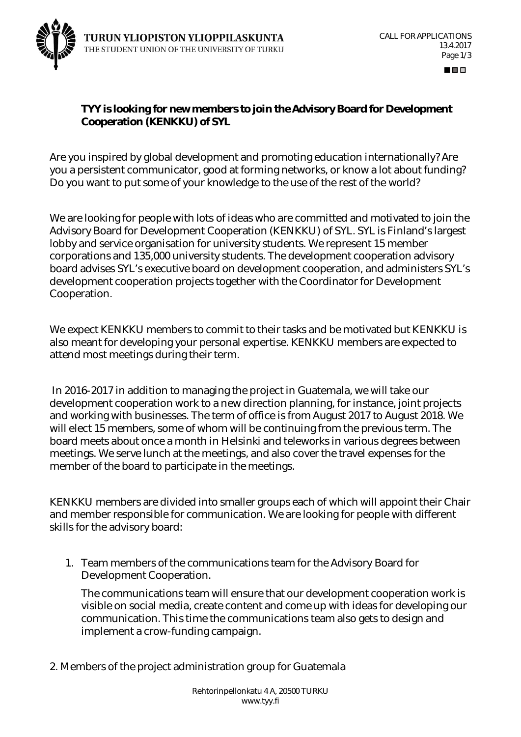

80 O O

**TYY is looking for new members to join the Advisory Board for Development Cooperation (KENKKU) of SYL**

Are you inspired by global development and promoting education internationally? Are you a persistent communicator, good at forming networks, or know a lot about funding? Do you want to put some of your knowledge to the use of the rest of the world?

We are looking for people with lots of ideas who are committed and motivated to join the Advisory Board for Development Cooperation (KENKKU) of SYL. SYL is Finland's largest lobby and service organisation for university students. We represent 15 member corporations and 135,000 university students. The development cooperation advisory board advises SYL's executive board on development cooperation, and administers SYL's development cooperation projects together with the Coordinator for Development Cooperation.

We expect KENKKU members to commit to their tasks and be motivated but KENKKU is also meant for developing your personal expertise. KENKKU members are expected to attend most meetings during their term.

 In 2016-2017 in addition to managing the project in Guatemala, we will take our development cooperation work to a new direction planning, for instance, joint projects and working with businesses. The term of office is from August 2017 to August 2018. We will elect 15 members, some of whom will be continuing from the previous term. The board meets about once a month in Helsinki and teleworks in various degrees between meetings. We serve lunch at the meetings, and also cover the travel expenses for the member of the board to participate in the meetings.

KENKKU members are divided into smaller groups each of which will appoint their Chair and member responsible for communication. We are looking for people with different skills for the advisory board:

1. Team members of the communications team for the Advisory Board for Development Cooperation.

The communications team will ensure that our development cooperation work is visible on social media, create content and come up with ideas for developing our communication. This time the communications team also gets to design and implement a crow-funding campaign.

2. Members of the project administration group for Guatemala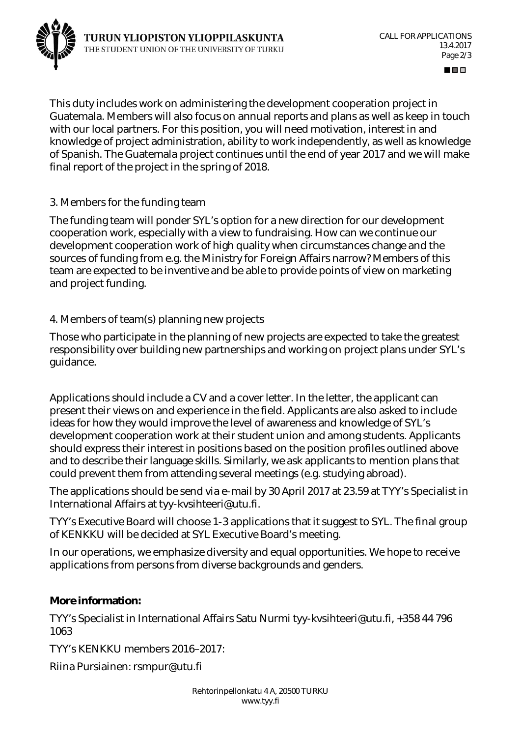

10 O

This duty includes work on administering the development cooperation project in Guatemala. Members will also focus on annual reports and plans as well as keep in touch with our local partners. For this position, you will need motivation, interest in and knowledge of project administration, ability to work independently, as well as knowledge of Spanish. The Guatemala project continues until the end of year 2017 and we will make final report of the project in the spring of 2018.

## 3. Members for the funding team

The funding team will ponder SYL's option for a new direction for our development cooperation work, especially with a view to fundraising. How can we continue our development cooperation work of high quality when circumstances change and the sources of funding from e.g. the Ministry for Foreign Affairs narrow? Members of this team are expected to be inventive and be able to provide points of view on marketing and project funding.

## 4. Members of team(s) planning new projects

Those who participate in the planning of new projects are expected to take the greatest responsibility over building new partnerships and working on project plans under SYL's guidance.

Applications should include a CV and a cover letter. In the letter, the applicant can present their views on and experience in the field. Applicants are also asked to include ideas for how they would improve the level of awareness and knowledge of SYL's development cooperation work at their student union and among students. Applicants should express their interest in positions based on the position profiles outlined above and to describe their language skills. Similarly, we ask applicants to mention plans that could prevent them from attending several meetings (e.g. studying abroad).

The applications should be send via e-mail by 30 April 2017 at 23.59 at TYY's Specialist in International Affairs at tyy-kvsihteeri@utu.fi.

TYY's Executive Board will choose 1-3 applications that it suggest to SYL. The final group of KENKKU will be decided at SYL Executive Board's meeting.

In our operations, we emphasize diversity and equal opportunities. We hope to receive applications from persons from diverse backgrounds and genders.

**More information:**

TYY's Specialist in International Affairs Satu Nurmi tyy-kvsihteeri@utu.fi, +358 44 796 1063

TYY's KENKKU members 2016–2017:

Riina Pursiainen: rsmpur@utu.fi